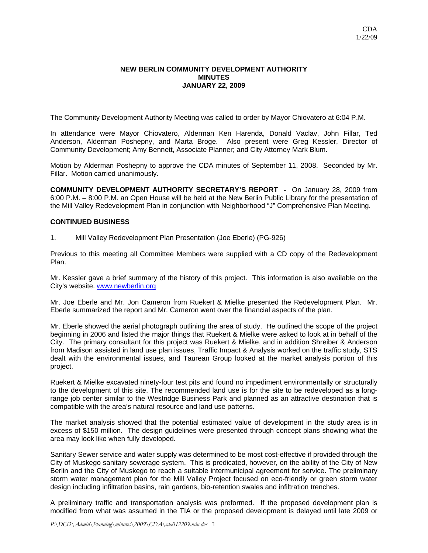### **NEW BERLIN COMMUNITY DEVELOPMENT AUTHORITY MINUTES JANUARY 22, 2009**

The Community Development Authority Meeting was called to order by Mayor Chiovatero at 6:04 P.M.

In attendance were Mayor Chiovatero, Alderman Ken Harenda, Donald Vaclav, John Fillar, Ted Anderson, Alderman Poshepny, and Marta Broge. Also present were Greg Kessler, Director of Community Development; Amy Bennett, Associate Planner; and City Attorney Mark Blum.

Motion by Alderman Poshepny to approve the CDA minutes of September 11, 2008. Seconded by Mr. Fillar. Motion carried unanimously.

**COMMUNITY DEVELOPMENT AUTHORITY SECRETARY'S REPORT -** On January 28, 2009 from 6:00 P.M. – 8:00 P.M. an Open House will be held at the New Berlin Public Library for the presentation of the Mill Valley Redevelopment Plan in conjunction with Neighborhood "J" Comprehensive Plan Meeting.

### **CONTINUED BUSINESS**

1. Mill Valley Redevelopment Plan Presentation (Joe Eberle) (PG-926)

Previous to this meeting all Committee Members were supplied with a CD copy of the Redevelopment Plan.

Mr. Kessler gave a brief summary of the history of this project. This information is also available on the City's website. www.newberlin.org

Mr. Joe Eberle and Mr. Jon Cameron from Ruekert & Mielke presented the Redevelopment Plan. Mr. Eberle summarized the report and Mr. Cameron went over the financial aspects of the plan.

Mr. Eberle showed the aerial photograph outlining the area of study. He outlined the scope of the project beginning in 2006 and listed the major things that Ruekert & Mielke were asked to look at in behalf of the City. The primary consultant for this project was Ruekert & Mielke, and in addition Shreiber & Anderson from Madison assisted in land use plan issues, Traffic Impact & Analysis worked on the traffic study, STS dealt with the environmental issues, and Taurean Group looked at the market analysis portion of this project.

Ruekert & Mielke excavated ninety-four test pits and found no impediment environmentally or structurally to the development of this site. The recommended land use is for the site to be redeveloped as a longrange job center similar to the Westridge Business Park and planned as an attractive destination that is compatible with the area's natural resource and land use patterns.

The market analysis showed that the potential estimated value of development in the study area is in excess of \$150 million. The design guidelines were presented through concept plans showing what the area may look like when fully developed.

Sanitary Sewer service and water supply was determined to be most cost-effective if provided through the City of Muskego sanitary sewerage system. This is predicated, however, on the ability of the City of New Berlin and the City of Muskego to reach a suitable intermunicipal agreement for service. The preliminary storm water management plan for the Mill Valley Project focused on eco-friendly or green storm water design including infiltration basins, rain gardens, bio-retention swales and infiltration trenches.

A preliminary traffic and transportation analysis was preformed. If the proposed development plan is modified from what was assumed in the TIA or the proposed development is delayed until late 2009 or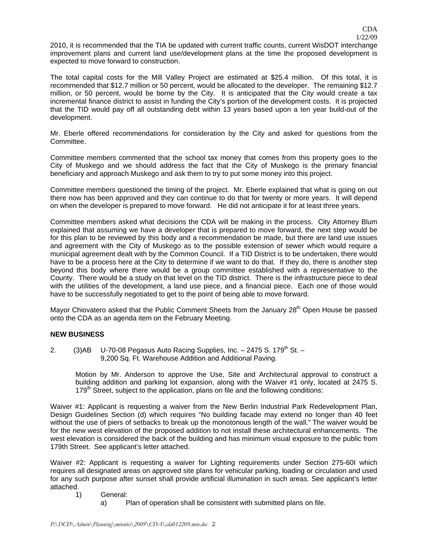2010, it is recommended that the TIA be updated with current traffic counts, current WisDOT interchange improvement plans and current land use/development plans at the time the proposed development is expected to move forward to construction.

The total capital costs for the Mill Valley Project are estimated at \$25.4 million. Of this total, it is recommended that \$12.7 million or 50 percent, would be allocated to the developer. The remaining \$12.7 million, or 50 percent, would be borne by the City. It is anticipated that the City would create a tax incremental finance district to assist in funding the City's portion of the development costs. It is projected that the TID would pay off all outstanding debt within 13 years based upon a ten year build-out of the development.

Mr. Eberle offered recommendations for consideration by the City and asked for questions from the Committee.

Committee members commented that the school tax money that comes from this property goes to the City of Muskego and we should address the fact that the City of Muskego is the primary financial beneficiary and approach Muskego and ask them to try to put some money into this project.

Committee members questioned the timing of the project. Mr. Eberle explained that what is going on out there now has been approved and they can continue to do that for twenty or more years. It will depend on when the developer is prepared to move forward. He did not anticipate it for at least three years.

Committee members asked what decisions the CDA will be making in the process. City Attorney Blum explained that assuming we have a developer that is prepared to move forward, the next step would be for this plan to be reviewed by this body and a recommendation be made, but there are land use issues and agreement with the City of Muskego as to the possible extension of sewer which would require a municipal agreement dealt with by the Common Council. If a TID District is to be undertaken, there would have to be a process here at the City to determine if we want to do that. If they do, there is another step beyond this body where there would be a group committee established with a representative to the County. There would be a study on that level on the TID district. There is the infrastructure piece to deal with the utilities of the development, a land use piece, and a financial piece. Each one of those would have to be successfully negotiated to get to the point of being able to move forward.

Mayor Chiovatero asked that the Public Comment Sheets from the January  $28<sup>th</sup>$  Open House be passed onto the CDA as an agenda item on the February Meeting.

## **NEW BUSINESS**

2.  $(3)$ AB U-70-08 Pegasus Auto Racing Supplies, Inc. – 2475 S. 179<sup>th</sup> St. – 9,200 Sq. Ft. Warehouse Addition and Additional Paving.

Motion by Mr. Anderson to approve the Use, Site and Architectural approval to construct a building addition and parking lot expansion, along with the Waiver #1 only, located at 2475 S. 179<sup>th</sup> Street, subject to the application, plans on file and the following conditions:

Waiver #1: Applicant is requesting a waiver from the New Berlin Industrial Park Redevelopment Plan, Design Guidelines Section (d) which requires "No building facade may extend no longer than 40 feet without the use of piers of setbacks to break up the monotonous length of the wall." The waiver would be for the new west elevation of the proposed addition to not install these architectural enhancements. The west elevation is considered the back of the building and has minimum visual exposure to the public from 179th Street. See applicant's letter attached.

Waiver #2: Applicant is requesting a waiver for Lighting requirements under Section 275-60I which requires all designated areas on approved site plans for vehicular parking, loading or circulation and used for any such purpose after sunset shall provide artificial illumination in such areas. See applicant's letter attached.

- 1) General:
	- a) Plan of operation shall be consistent with submitted plans on file.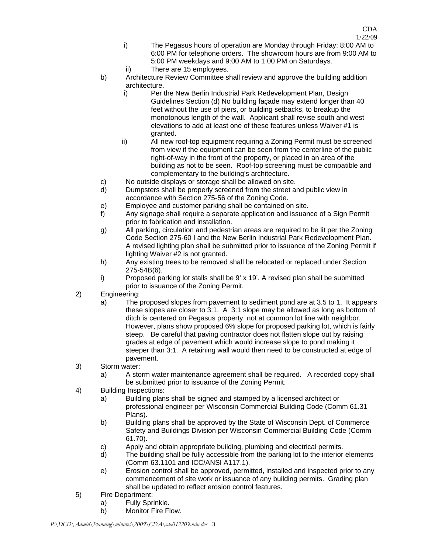- i) The Pegasus hours of operation are Monday through Friday: 8:00 AM to 6:00 PM for telephone orders. The showroom hours are from 9:00 AM to 5:00 PM weekdays and 9:00 AM to 1:00 PM on Saturdays.
- ii) There are 15 employees.
- b) Architecture Review Committee shall review and approve the building addition architecture.
	- i) Per the New Berlin Industrial Park Redevelopment Plan, Design Guidelines Section (d) No building façade may extend longer than 40 feet without the use of piers, or building setbacks, to breakup the monotonous length of the wall. Applicant shall revise south and west elevations to add at least one of these features unless Waiver #1 is granted.
	- ii) All new roof-top equipment requiring a Zoning Permit must be screened from view if the equipment can be seen from the centerline of the public right-of-way in the front of the property, or placed in an area of the building as not to be seen. Roof-top screening must be compatible and complementary to the building's architecture.
- c) No outside displays or storage shall be allowed on site.
- d) Dumpsters shall be properly screened from the street and public view in accordance with Section 275-56 of the Zoning Code.
- e) Employee and customer parking shall be contained on site.
- f) Any signage shall require a separate application and issuance of a Sign Permit prior to fabrication and installation.
- g) All parking, circulation and pedestrian areas are required to be lit per the Zoning Code Section 275-60 I and the New Berlin Industrial Park Redevelopment Plan. A revised lighting plan shall be submitted prior to issuance of the Zoning Permit if lighting Waiver #2 is not granted.
- h) Any existing trees to be removed shall be relocated or replaced under Section 275-54B(6).
- i) Proposed parking lot stalls shall be 9' x 19'. A revised plan shall be submitted prior to issuance of the Zoning Permit.
- 2) Engineering:
	- a) The proposed slopes from pavement to sediment pond are at 3.5 to 1. It appears these slopes are closer to 3:1. A 3:1 slope may be allowed as long as bottom of ditch is centered on Pegasus property, not at common lot line with neighbor. However, plans show proposed 6% slope for proposed parking lot, which is fairly steep. Be careful that paving contractor does not flatten slope out by raising grades at edge of pavement which would increase slope to pond making it steeper than 3:1. A retaining wall would then need to be constructed at edge of pavement.
- 3) Storm water:
	- a) A storm water maintenance agreement shall be required. A recorded copy shall be submitted prior to issuance of the Zoning Permit.
- 4) Building Inspections:
	- a) Building plans shall be signed and stamped by a licensed architect or professional engineer per Wisconsin Commercial Building Code (Comm 61.31 Plans).
	- b) Building plans shall be approved by the State of Wisconsin Dept. of Commerce Safety and Buildings Division per Wisconsin Commercial Building Code (Comm 61.70).
	- c) Apply and obtain appropriate building, plumbing and electrical permits.
	- d) The building shall be fully accessible from the parking lot to the interior elements (Comm 63.1101 and ICC/ANSI A117.1).
	- e) Erosion control shall be approved, permitted, installed and inspected prior to any commencement of site work or issuance of any building permits. Grading plan shall be updated to reflect erosion control features.
- 5) Fire Department:
	- a) Fully Sprinkle.
	- b) Monitor Fire Flow.